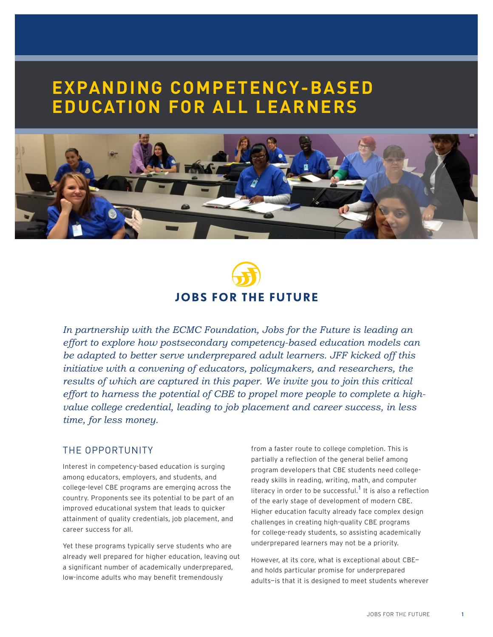# **EXPANDING COMPETENCY-BASED EDUCATION FOR ALL LEARNERS**





*In partnership with the ECMC Foundation, Jobs for the Future is leading an effort to explore how postsecondary competency-based education models can be adapted to better serve underprepared adult learners. JFF kicked off this initiative with a convening of educators, policymakers, and researchers, the results of which are captured in this paper. We invite you to join this critical effort to harness the potential of CBE to propel more people to complete a highvalue college credential, leading to job placement and career success, in less time, for less money.*

## THE OPPORTUNITY

Interest in competency-based education is surging among educators, employers, and students, and college-level CBE programs are emerging across the country. Proponents see its potential to be part of an improved educational system that leads to quicker attainment of quality credentials, job placement, and career success for all.

Yet these programs typically serve students who are already well prepared for higher education, leaving out a significant number of academically underprepared, low-income adults who may benefit tremendously

from a faster route to college completion. This is partially a reflection of the general belief among program developers that CBE students need collegeready skills in reading, writing, math, and computer literacy in order to be successful. $^{\rm 1}$  It is also a reflection of the early stage of development of modern CBE. Higher education faculty already face complex design challenges in creating high-quality CBE programs for college-ready students, so assisting academically underprepared learners may not be a priority.

However, at its core, what is exceptional about CBE and holds particular promise for underprepared adults—is that it is designed to meet students wherever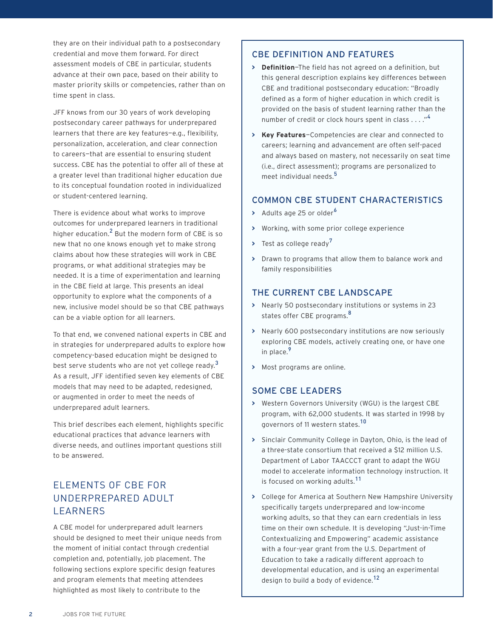they are on their individual path to a postsecondary credential and move them forward. For direct assessment models of CBE in particular, students advance at their own pace, based on their ability to master priority skills or competencies, rather than on time spent in class.

JFF knows from our 30 years of work developing postsecondary career pathways for underprepared learners that there are key features—e.g., flexibility, personalization, acceleration, and clear connection to careers—that are essential to ensuring student success. CBE has the potential to offer all of these at a greater level than traditional higher education due to its conceptual foundation rooted in individualized or student-centered learning.

There is evidence about what works to improve outcomes for underprepared learners in traditional higher education. $^2$  But the modern form of CBE is so new that no one knows enough yet to make strong claims about how these strategies will work in CBE programs, or what additional strategies may be needed. It is a time of experimentation and learning in the CBE field at large. This presents an ideal opportunity to explore what the components of a new, inclusive model should be so that CBE pathways can be a viable option for all learners.

To that end, we convened national experts in CBE and in strategies for underprepared adults to explore how competency-based education might be designed to best serve students who are not yet college ready. $^3$ As a result, JFF identified seven key elements of CBE models that may need to be adapted, redesigned, or augmented in order to meet the needs of underprepared adult learners.

This brief describes each element, highlights specific educational practices that advance learners with diverse needs, and outlines important questions still to be answered.

## ELEMENTS OF CBE FOR UNDERPREPARED ADULT LEARNERS

A CBE model for underprepared adult learners should be designed to meet their unique needs from the moment of initial contact through credential completion and, potentially, job placement. The following sections explore specific design features and program elements that meeting attendees highlighted as most likely to contribute to the

## CBE DEFINITION AND FEATURES

- **> Definition**—The field has not agreed on a definition, but this general description explains key differences between CBE and traditional postsecondary education: "Broadly defined as a form of higher education in which credit is provided on the basis of student learning rather than the number of credit or clock hours spent in class . . . . "<sup>4</sup>
- **> Key Features**—Competencies are clear and connected to careers; learning and advancement are often self-paced and always based on mastery, not necessarily on seat time (i.e., direct assessment); programs are personalized to meet individual needs.<sup>5</sup>

## COMMON CBE STUDENT CHARACTERISTICS

- > Adults age 25 or older<sup>6</sup>
- **>** Working, with some prior college experience
- **>** Test as college ready<sup>7</sup>
- **>** Drawn to programs that allow them to balance work and family responsibilities

## THE CURRENT CBE LANDSCAPE

- **>** Nearly 50 postsecondary institutions or systems in 23 states offer CBE programs.<sup>8</sup>
- **>** Nearly 600 postsecondary institutions are now seriously exploring CBE models, actively creating one, or have one in place.<sup>9</sup>
- **>** Most programs are online.

## SOME CBE LEADERS

- **>** Western Governors University (WGU) is the largest CBE program, with 62,000 students. It was started in 1998 by governors of 11 western states.<sup>10</sup>
- **>** Sinclair Community College in Dayton, Ohio, is the lead of a three-state consortium that received a \$12 million U.S. Department of Labor TAACCCT grant to adapt the WGU model to accelerate information technology instruction. It is focused on working adults.<sup>11</sup>
- **>** College for America at Southern New Hampshire University specifically targets underprepared and low-income working adults, so that they can earn credentials in less time on their own schedule. It is developing "Just-in-Time Contextualizing and Empowering" academic assistance with a four-year grant from the U.S. Department of Education to take a radically different approach to developmental education, and is using an experimental design to build a body of evidence.<sup>12</sup>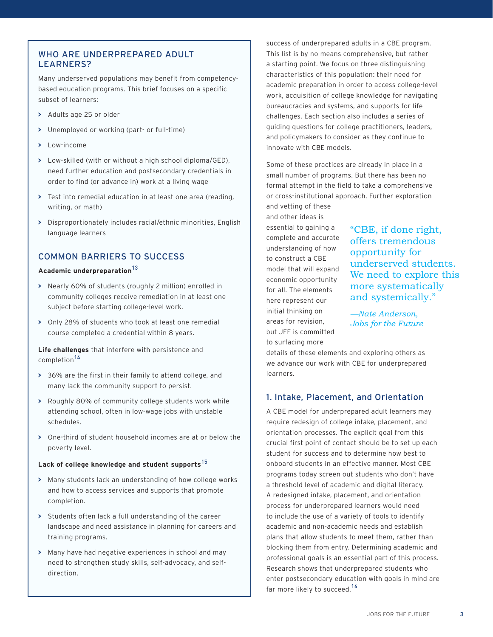## WHO ARE UNDERPREPARED ADULT LEARNERS?

Many underserved populations may benefit from competencybased education programs. This brief focuses on a specific subset of learners:

- **>** Adults age 25 or older
- **>** Unemployed or working (part- or full-time)
- **>** Low-income
- **>** Low-skilled (with or without a high school diploma/GED), need further education and postsecondary credentials in order to find (or advance in) work at a living wage
- **>** Test into remedial education in at least one area (reading, writing, or math)
- **>** Disproportionately includes racial/ethnic minorities, English language learners

## COMMON BARRIERS TO SUCCESS

### **Academic underpreparation**<sup>13</sup>

- **>** Nearly 60% of students (roughly 2 million) enrolled in community colleges receive remediation in at least one subject before starting college-level work.
- **>** Only 28% of students who took at least one remedial course completed a credential within 8 years.

**Life challenges** that interfere with persistence and completion<sup>14</sup>

- **>** 36% are the first in their family to attend college, and many lack the community support to persist.
- **>** Roughly 80% of community college students work while attending school, often in low-wage jobs with unstable schedules.
- **>** One-third of student household incomes are at or below the poverty level.

#### **Lack of college knowledge and student supports**<sup>15</sup>

- **>** Many students lack an understanding of how college works and how to access services and supports that promote completion.
- **>** Students often lack a full understanding of the career landscape and need assistance in planning for careers and training programs.
- **>** Many have had negative experiences in school and may need to strengthen study skills, self-advocacy, and selfdirection.

success of underprepared adults in a CBE program. This list is by no means comprehensive, but rather a starting point. We focus on three distinguishing characteristics of this population: their need for academic preparation in order to access college-level work, acquisition of college knowledge for navigating bureaucracies and systems, and supports for life challenges. Each section also includes a series of guiding questions for college practitioners, leaders, and policymakers to consider as they continue to innovate with CBE models.

Some of these practices are already in place in a small number of programs. But there has been no formal attempt in the field to take a comprehensive or cross-institutional approach. Further exploration and vetting of these

and other ideas is essential to gaining a complete and accurate understanding of how to construct a CBE model that will expand economic opportunity for all. The elements here represent our initial thinking on areas for revision, but JFF is committed to surfacing more

"CBE, if done right, offers tremendous opportunity for underserved students. We need to explore this more systematically and systemically."

*—Nate Anderson, Jobs for the Future*

details of these elements and exploring others as we advance our work with CBE for underprepared learners.

## 1. Intake, Placement, and Orientation

A CBE model for underprepared adult learners may require redesign of college intake, placement, and orientation processes. The explicit goal from this crucial first point of contact should be to set up each student for success and to determine how best to onboard students in an effective manner. Most CBE programs today screen out students who don't have a threshold level of academic and digital literacy. A redesigned intake, placement, and orientation process for underprepared learners would need to include the use of a variety of tools to identify academic and non-academic needs and establish plans that allow students to meet them, rather than blocking them from entry. Determining academic and professional goals is an essential part of this process. Research shows that underprepared students who enter postsecondary education with goals in mind are far more likely to succeed.<sup>16</sup>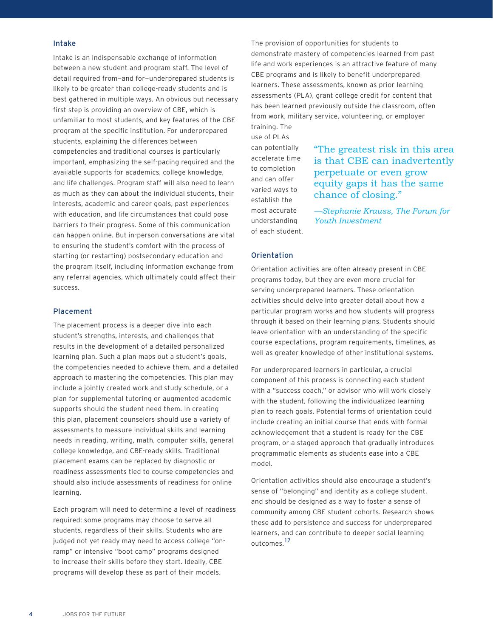#### Intake

Intake is an indispensable exchange of information between a new student and program staff. The level of detail required from—and for—underprepared students is likely to be greater than college-ready students and is best gathered in multiple ways. An obvious but necessary first step is providing an overview of CBE, which is unfamiliar to most students, and key features of the CBE program at the specific institution. For underprepared students, explaining the differences between competencies and traditional courses is particularly important, emphasizing the self-pacing required and the available supports for academics, college knowledge, and life challenges. Program staff will also need to learn as much as they can about the individual students, their interests, academic and career goals, past experiences with education, and life circumstances that could pose barriers to their progress. Some of this communication can happen online. But in-person conversations are vital to ensuring the student's comfort with the process of starting (or restarting) postsecondary education and the program itself, including information exchange from any referral agencies, which ultimately could affect their success.

#### Placement

The placement process is a deeper dive into each student's strengths, interests, and challenges that results in the development of a detailed personalized learning plan. Such a plan maps out a student's goals, the competencies needed to achieve them, and a detailed approach to mastering the competencies. This plan may include a jointly created work and study schedule, or a plan for supplemental tutoring or augmented academic supports should the student need them. In creating this plan, placement counselors should use a variety of assessments to measure individual skills and learning needs in reading, writing, math, computer skills, general college knowledge, and CBE-ready skills. Traditional placement exams can be replaced by diagnostic or readiness assessments tied to course competencies and should also include assessments of readiness for online learning.

Each program will need to determine a level of readiness required; some programs may choose to serve all students, regardless of their skills. Students who are judged not yet ready may need to access college "onramp" or intensive "boot camp" programs designed to increase their skills before they start. Ideally, CBE programs will develop these as part of their models.

The provision of opportunities for students to demonstrate mastery of competencies learned from past life and work experiences is an attractive feature of many CBE programs and is likely to benefit underprepared learners. These assessments, known as prior learning assessments (PLA), grant college credit for content that has been learned previously outside the classroom, often from work, military service, volunteering, or employer training. The

use of PLAs can potentially accelerate time to completion and can offer varied ways to establish the most accurate understanding of each student.

## "The greatest risk in this area is that CBE can inadvertently perpetuate or even grow equity gaps it has the same chance of closing."

*—Stephanie Krauss, The Forum for Youth Investment*

#### **Orientation**

Orientation activities are often already present in CBE programs today, but they are even more crucial for serving underprepared learners. These orientation activities should delve into greater detail about how a particular program works and how students will progress through it based on their learning plans. Students should leave orientation with an understanding of the specific course expectations, program requirements, timelines, as well as greater knowledge of other institutional systems.

For underprepared learners in particular, a crucial component of this process is connecting each student with a "success coach," or advisor who will work closely with the student, following the individualized learning plan to reach goals. Potential forms of orientation could include creating an initial course that ends with formal acknowledgement that a student is ready for the CBE program, or a staged approach that gradually introduces programmatic elements as students ease into a CBE model.

Orientation activities should also encourage a student's sense of "belonging" and identity as a college student, and should be designed as a way to foster a sense of community among CBE student cohorts. Research shows these add to persistence and success for underprepared learners, and can contribute to deeper social learning outcomes.<sup>17</sup>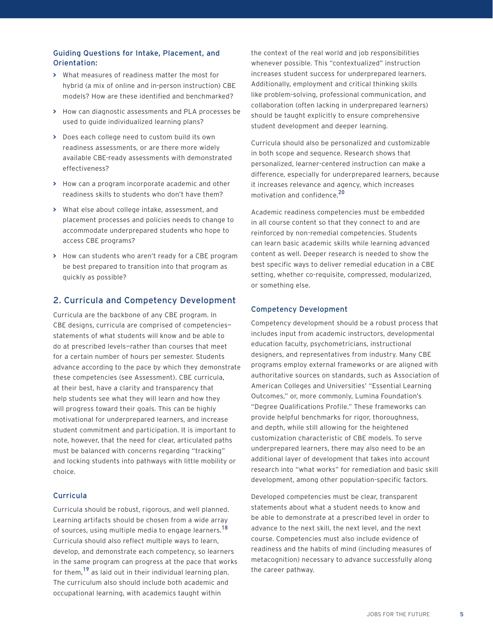#### Guiding Questions for Intake, Placement, and Orientation:

- **>** What measures of readiness matter the most for hybrid (a mix of online and in-person instruction) CBE models? How are these identified and benchmarked?
- **>** How can diagnostic assessments and PLA processes be used to guide individualized learning plans?
- **>** Does each college need to custom build its own readiness assessments, or are there more widely available CBE-ready assessments with demonstrated effectiveness?
- **>** How can a program incorporate academic and other readiness skills to students who don't have them?
- **>** What else about college intake, assessment, and placement processes and policies needs to change to accommodate underprepared students who hope to access CBE programs?
- **>** How can students who aren't ready for a CBE program be best prepared to transition into that program as quickly as possible?

## 2. Curricula and Competency Development

Curricula are the backbone of any CBE program. In CBE designs, curricula are comprised of competencies statements of what students will know and be able to do at prescribed levels—rather than courses that meet for a certain number of hours per semester. Students advance according to the pace by which they demonstrate these competencies (see Assessment). CBE curricula, at their best, have a clarity and transparency that help students see what they will learn and how they will progress toward their goals. This can be highly motivational for underprepared learners, and increase student commitment and participation. It is important to note, however, that the need for clear, articulated paths must be balanced with concerns regarding "tracking" and locking students into pathways with little mobility or choice.

## Curricula

Curricula should be robust, rigorous, and well planned. Learning artifacts should be chosen from a wide array of sources, using multiple media to engage learners.<sup>18</sup> Curricula should also reflect multiple ways to learn, develop, and demonstrate each competency, so learners in the same program can progress at the pace that works for them, <sup>19</sup> as laid out in their individual learning plan. The curriculum also should include both academic and occupational learning, with academics taught within

the context of the real world and job responsibilities whenever possible. This "contextualized" instruction increases student success for underprepared learners. Additionally, employment and critical thinking skills like problem-solving, professional communication, and collaboration (often lacking in underprepared learners) should be taught explicitly to ensure comprehensive student development and deeper learning.

Curricula should also be personalized and customizable in both scope and sequence. Research shows that personalized, learner-centered instruction can make a difference, especially for underprepared learners, because it increases relevance and agency, which increases motivation and confidence.<sup>20</sup>

Academic readiness competencies must be embedded in all course content so that they connect to and are reinforced by non-remedial competencies. Students can learn basic academic skills while learning advanced content as well. Deeper research is needed to show the best specific ways to deliver remedial education in a CBE setting, whether co-requisite, compressed, modularized, or something else.

#### Competency Development

Competency development should be a robust process that includes input from academic instructors, developmental education faculty, psychometricians, instructional designers, and representatives from industry. Many CBE programs employ external frameworks or are aligned with authoritative sources on standards, such as Association of American Colleges and Universities' "Essential Learning Outcomes," or, more commonly, Lumina Foundation's "Degree Qualifications Profile." These frameworks can provide helpful benchmarks for rigor, thoroughness, and depth, while still allowing for the heightened customization characteristic of CBE models. To serve underprepared learners, there may also need to be an additional layer of development that takes into account research into "what works" for remediation and basic skill development, among other population-specific factors.

Developed competencies must be clear, transparent statements about what a student needs to know and be able to demonstrate at a prescribed level in order to advance to the next skill, the next level, and the next course. Competencies must also include evidence of readiness and the habits of mind (including measures of metacognition) necessary to advance successfully along the career pathway.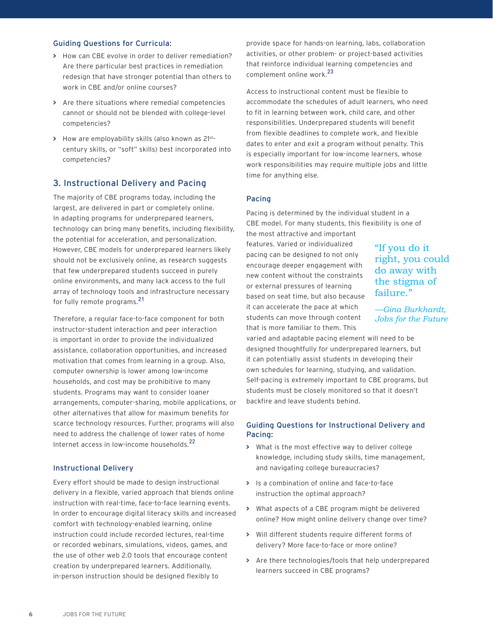#### Guiding Questions for Curricula:

- **>** How can CBE evolve in order to deliver remediation? Are there particular best practices in remediation redesign that have stronger potential than others to work in CBE and/or online courses?
- **>** Are there situations where remedial competencies cannot or should not be blended with college-level competencies?
- **>** How are employability skills (also known as 21stcentury skills, or "soft" skills) best incorporated into competencies?

## 3. Instructional Delivery and Pacing

The majority of CBE programs today, including the largest, are delivered in part or completely online. In adapting programs for underprepared learners, technology can bring many benefits, including flexibility, the potential for acceleration, and personalization. However, CBE models for underprepared learners likely should not be exclusively online, as research suggests that few underprepared students succeed in purely online environments, and many lack access to the full array of technology tools and infrastructure necessary for fully remote programs.<sup>21</sup>

Therefore, a regular face-to-face component for both instructor-student interaction and peer interaction is important in order to provide the individualized assistance, collaboration opportunities, and increased motivation that comes from learning in a group. Also, computer ownership is lower among low-income households, and cost may be prohibitive to many students. Programs may want to consider loaner arrangements, computer-sharing, mobile applications, or other alternatives that allow for maximum benefits for scarce technology resources. Further, programs will also need to address the challenge of lower rates of home Internet access in low-income households.<sup>22</sup>

#### Instructional Delivery

Every effort should be made to design instructional delivery in a flexible, varied approach that blends online instruction with real-time, face-to-face learning events. In order to encourage digital literacy skills and increased comfort with technology-enabled learning, online instruction could include recorded lectures, real-time or recorded webinars, simulations, videos, games, and the use of other web 2.0 tools that encourage content creation by underprepared learners. Additionally, in-person instruction should be designed flexibly to

provide space for hands-on learning, labs, collaboration activities, or other problem- or project-based activities that reinforce individual learning competencies and complement online work.<sup>23</sup>

Access to instructional content must be flexible to accommodate the schedules of adult learners, who need to fit in learning between work, child care, and other responsibilities. Underprepared students will benefit from flexible deadlines to complete work, and flexible dates to enter and exit a program without penalty. This is especially important for low-income learners, whose work responsibilities may require multiple jobs and little time for anything else.

#### Pacing

Pacing is determined by the individual student in a CBE model. For many students, this flexibility is one of

the most attractive and important features. Varied or individualized pacing can be designed to not only encourage deeper engagement with new content without the constraints or external pressures of learning based on seat time, but also because it can accelerate the pace at which students can move through content that is more familiar to them. This

"If you do it right, you could do away with the stigma of failure."

*—Gina Burkhardt, Jobs for the Future*

varied and adaptable pacing element will need to be designed thoughtfully for underprepared learners, but it can potentially assist students in developing their own schedules for learning, studying, and validation. Self-pacing is extremely important to CBE programs, but students must be closely monitored so that it doesn't backfire and leave students behind.

#### Guiding Questions for Instructional Delivery and Pacing:

- **>** What is the most effective way to deliver college knowledge, including study skills, time management, and navigating college bureaucracies?
- **>** Is a combination of online and face-to-face instruction the optimal approach?
- **>** What aspects of a CBE program might be delivered online? How might online delivery change over time?
- **>** Will different students require different forms of delivery? More face-to-face or more online?
- **>** Are there technologies/tools that help underprepared learners succeed in CBE programs?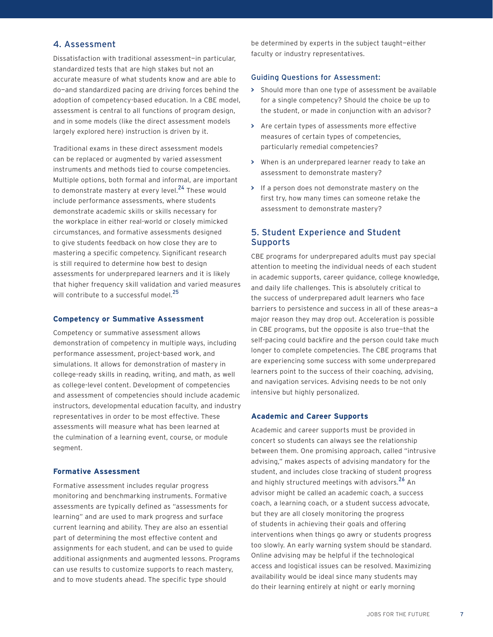## 4. Assessment

Dissatisfaction with traditional assessment—in particular, standardized tests that are high stakes but not an accurate measure of what students know and are able to do—and standardized pacing are driving forces behind the adoption of competency-based education. In a CBE model, assessment is central to all functions of program design, and in some models (like the direct assessment models largely explored here) instruction is driven by it.

Traditional exams in these direct assessment models can be replaced or augmented by varied assessment instruments and methods tied to course competencies. Multiple options, both formal and informal, are important to demonstrate mastery at every level.<sup>24</sup> These would include performance assessments, where students demonstrate academic skills or skills necessary for the workplace in either real-world or closely mimicked circumstances, and formative assessments designed to give students feedback on how close they are to mastering a specific competency. Significant research is still required to determine how best to design assessments for underprepared learners and it is likely that higher frequency skill validation and varied measures will contribute to a successful model.<sup>25</sup>

#### **Competency or Summative Assessment**

Competency or summative assessment allows demonstration of competency in multiple ways, including performance assessment, project-based work, and simulations. It allows for demonstration of mastery in college-ready skills in reading, writing, and math, as well as college-level content. Development of competencies and assessment of competencies should include academic instructors, developmental education faculty, and industry representatives in order to be most effective. These assessments will measure what has been learned at the culmination of a learning event, course, or module segment.

#### **Formative Assessment**

Formative assessment includes regular progress monitoring and benchmarking instruments. Formative assessments are typically defined as "assessments for learning" and are used to mark progress and surface current learning and ability. They are also an essential part of determining the most effective content and assignments for each student, and can be used to guide additional assignments and augmented lessons. Programs can use results to customize supports to reach mastery, and to move students ahead. The specific type should

be determined by experts in the subject taught—either faculty or industry representatives.

#### Guiding Questions for Assessment:

- **>** Should more than one type of assessment be available for a single competency? Should the choice be up to the student, or made in conjunction with an advisor?
- **>** Are certain types of assessments more effective measures of certain types of competencies, particularly remedial competencies?
- **>** When is an underprepared learner ready to take an assessment to demonstrate mastery?
- **>** If a person does not demonstrate mastery on the first try, how many times can someone retake the assessment to demonstrate mastery?

## 5. Student Experience and Student Supports

CBE programs for underprepared adults must pay special attention to meeting the individual needs of each student in academic supports, career guidance, college knowledge, and daily life challenges. This is absolutely critical to the success of underprepared adult learners who face barriers to persistence and success in all of these areas—a major reason they may drop out. Acceleration is possible in CBE programs, but the opposite is also true—that the self-pacing could backfire and the person could take much longer to complete competencies. The CBE programs that are experiencing some success with some underprepared learners point to the success of their coaching, advising, and navigation services. Advising needs to be not only intensive but highly personalized.

#### **Academic and Career Supports**

Academic and career supports must be provided in concert so students can always see the relationship between them. One promising approach, called "intrusive advising," makes aspects of advising mandatory for the student, and includes close tracking of student progress and highly structured meetings with advisors.<sup>26</sup> An advisor might be called an academic coach, a success coach, a learning coach, or a student success advocate, but they are all closely monitoring the progress of students in achieving their goals and offering interventions when things go awry or students progress too slowly. An early warning system should be standard. Online advising may be helpful if the technological access and logistical issues can be resolved. Maximizing availability would be ideal since many students may do their learning entirely at night or early morning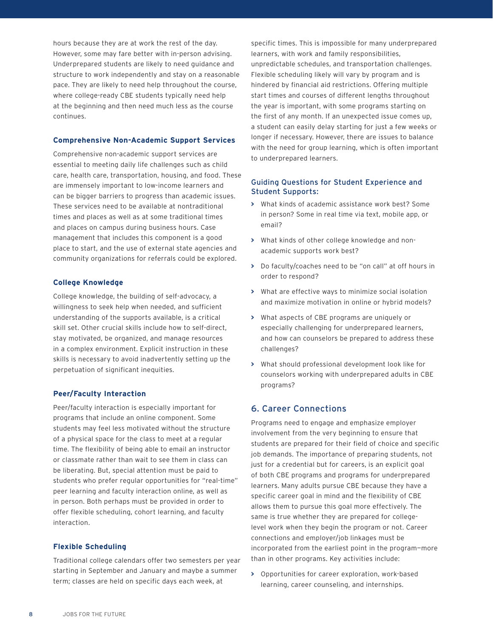hours because they are at work the rest of the day. However, some may fare better with in-person advising. Underprepared students are likely to need guidance and structure to work independently and stay on a reasonable pace. They are likely to need help throughout the course, where college-ready CBE students typically need help at the beginning and then need much less as the course continues.

#### **Comprehensive Non-Academic Support Services**

Comprehensive non-academic support services are essential to meeting daily life challenges such as child care, health care, transportation, housing, and food. These are immensely important to low-income learners and can be bigger barriers to progress than academic issues. These services need to be available at nontraditional times and places as well as at some traditional times and places on campus during business hours. Case management that includes this component is a good place to start, and the use of external state agencies and community organizations for referrals could be explored.

## **College Knowledge**

College knowledge, the building of self-advocacy, a willingness to seek help when needed, and sufficient understanding of the supports available, is a critical skill set. Other crucial skills include how to self-direct, stay motivated, be organized, and manage resources in a complex environment. Explicit instruction in these skills is necessary to avoid inadvertently setting up the perpetuation of significant inequities.

#### **Peer/Faculty Interaction**

Peer/faculty interaction is especially important for programs that include an online component. Some students may feel less motivated without the structure of a physical space for the class to meet at a regular time. The flexibility of being able to email an instructor or classmate rather than wait to see them in class can be liberating. But, special attention must be paid to students who prefer regular opportunities for "real-time" peer learning and faculty interaction online, as well as in person. Both perhaps must be provided in order to offer flexible scheduling, cohort learning, and faculty interaction.

#### **Flexible Scheduling**

Traditional college calendars offer two semesters per year starting in September and January and maybe a summer term; classes are held on specific days each week, at

specific times. This is impossible for many underprepared learners, with work and family responsibilities, unpredictable schedules, and transportation challenges. Flexible scheduling likely will vary by program and is hindered by financial aid restrictions. Offering multiple start times and courses of different lengths throughout the year is important, with some programs starting on the first of any month. If an unexpected issue comes up, a student can easily delay starting for just a few weeks or longer if necessary. However, there are issues to balance with the need for group learning, which is often important to underprepared learners.

#### Guiding Questions for Student Experience and Student Supports:

- **>** What kinds of academic assistance work best? Some in person? Some in real time via text, mobile app, or email?
- **>** What kinds of other college knowledge and nonacademic supports work best?
- **>** Do faculty/coaches need to be "on call" at off hours in order to respond?
- **>** What are effective ways to minimize social isolation and maximize motivation in online or hybrid models?
- **>** What aspects of CBE programs are uniquely or especially challenging for underprepared learners, and how can counselors be prepared to address these challenges?
- **>** What should professional development look like for counselors working with underprepared adults in CBE programs?

#### 6. Career Connections

Programs need to engage and emphasize employer involvement from the very beginning to ensure that students are prepared for their field of choice and specific job demands. The importance of preparing students, not just for a credential but for careers, is an explicit goal of both CBE programs and programs for underprepared learners. Many adults pursue CBE because they have a specific career goal in mind and the flexibility of CBE allows them to pursue this goal more effectively. The same is true whether they are prepared for collegelevel work when they begin the program or not. Career connections and employer/job linkages must be incorporated from the earliest point in the program—more than in other programs. Key activities include:

**>** Opportunities for career exploration, work-based learning, career counseling, and internships.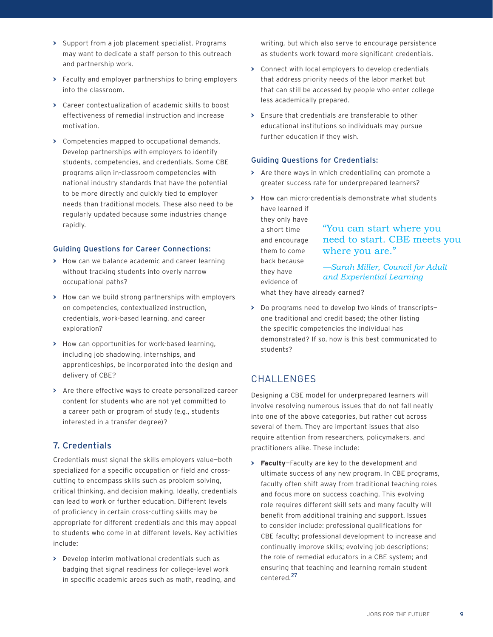- **>** Support from a job placement specialist. Programs may want to dedicate a staff person to this outreach and partnership work.
- **>** Faculty and employer partnerships to bring employers into the classroom.
- **>** Career contextualization of academic skills to boost effectiveness of remedial instruction and increase motivation.
- **>** Competencies mapped to occupational demands. Develop partnerships with employers to identify students, competencies, and credentials. Some CBE programs align in-classroom competencies with national industry standards that have the potential to be more directly and quickly tied to employer needs than traditional models. These also need to be regularly updated because some industries change rapidly.

#### Guiding Questions for Career Connections:

- **>** How can we balance academic and career learning without tracking students into overly narrow occupational paths?
- **>** How can we build strong partnerships with employers on competencies, contextualized instruction, credentials, work-based learning, and career exploration?
- **>** How can opportunities for work-based learning, including job shadowing, internships, and apprenticeships, be incorporated into the design and delivery of CBE?
- **>** Are there effective ways to create personalized career content for students who are not yet committed to a career path or program of study (e.g., students interested in a transfer degree)?

## 7. Credentials

Credentials must signal the skills employers value—both specialized for a specific occupation or field and crosscutting to encompass skills such as problem solving, critical thinking, and decision making. Ideally, credentials can lead to work or further education. Different levels of proficiency in certain cross-cutting skills may be appropriate for different credentials and this may appeal to students who come in at different levels. Key activities include:

**>** Develop interim motivational credentials such as badging that signal readiness for college-level work in specific academic areas such as math, reading, and writing, but which also serve to encourage persistence as students work toward more significant credentials.

- **>** Connect with local employers to develop credentials that address priority needs of the labor market but that can still be accessed by people who enter college less academically prepared.
- **>** Ensure that credentials are transferable to other educational institutions so individuals may pursue further education if they wish.

#### Guiding Questions for Credentials:

- **>** Are there ways in which credentialing can promote a greater success rate for underprepared learners?
- **>** How can micro-credentials demonstrate what students have learned if

they only have a short time and encourage them to come back because they have evidence of

## "You can start where you need to start. CBE meets you where you are."

*—Sarah Miller, Council for Adult and Experiential Learning*

what they have already earned?

**>** Do programs need to develop two kinds of transcripts one traditional and credit based; the other listing the specific competencies the individual has demonstrated? If so, how is this best communicated to students?

## CHALLENGES

Designing a CBE model for underprepared learners will involve resolving numerous issues that do not fall neatly into one of the above categories, but rather cut across several of them. They are important issues that also require attention from researchers, policymakers, and practitioners alike. These include:

**> Faculty**—Faculty are key to the development and ultimate success of any new program. In CBE programs, faculty often shift away from traditional teaching roles and focus more on success coaching. This evolving role requires different skill sets and many faculty will benefit from additional training and support. Issues to consider include: professional qualifications for CBE faculty; professional development to increase and continually improve skills; evolving job descriptions; the role of remedial educators in a CBE system; and ensuring that teaching and learning remain student centered.<sup>27</sup>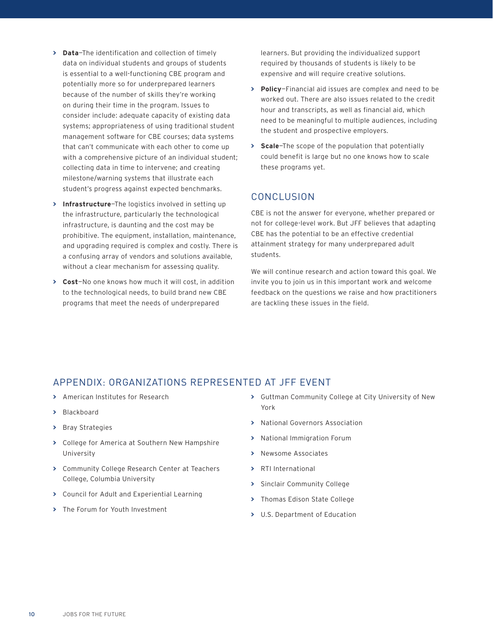- **> Data**—The identification and collection of timely data on individual students and groups of students is essential to a well-functioning CBE program and potentially more so for underprepared learners because of the number of skills they're working on during their time in the program. Issues to consider include: adequate capacity of existing data systems; appropriateness of using traditional student management software for CBE courses; data systems that can't communicate with each other to come up with a comprehensive picture of an individual student; collecting data in time to intervene; and creating milestone/warning systems that illustrate each student's progress against expected benchmarks.
- **> Infrastructure**—The logistics involved in setting up the infrastructure, particularly the technological infrastructure, is daunting and the cost may be prohibitive. The equipment, installation, maintenance, and upgrading required is complex and costly. There is a confusing array of vendors and solutions available, without a clear mechanism for assessing quality.
- **> Cost**—No one knows how much it will cost, in addition to the technological needs, to build brand new CBE programs that meet the needs of underprepared

learners. But providing the individualized support required by thousands of students is likely to be expensive and will require creative solutions.

- **> Policy**—Financial aid issues are complex and need to be worked out. There are also issues related to the credit hour and transcripts, as well as financial aid, which need to be meaningful to multiple audiences, including the student and prospective employers.
- **> Scale**—The scope of the population that potentially could benefit is large but no one knows how to scale these programs yet.

## **CONCLUSION**

CBE is not the answer for everyone, whether prepared or not for college-level work. But JFF believes that adapting CBE has the potential to be an effective credential attainment strategy for many underprepared adult students.

We will continue research and action toward this goal. We invite you to join us in this important work and welcome feedback on the questions we raise and how practitioners are tackling these issues in the field.

## APPENDIX: ORGANIZATIONS REPRESENTED AT JFF EVENT

- **>** American Institutes for Research
- **>** Blackboard
- **>** Bray Strategies
- **>** College for America at Southern New Hampshire University
- **>** Community College Research Center at Teachers College, Columbia University
- **>** Council for Adult and Experiential Learning
- **>** The Forum for Youth Investment
- **>** Guttman Community College at City University of New York
- **>** National Governors Association
- **>** National Immigration Forum
- **>** Newsome Associates
- **>** RTI International
- **>** Sinclair Community College
- **>** Thomas Edison State College
- **>** U.S. Department of Education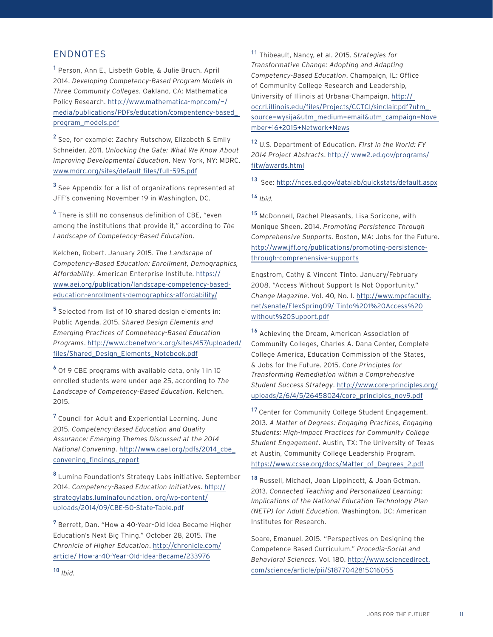## ENDNOTES

<sup>1</sup> Person, Ann E., Lisbeth Goble, & Julie Bruch. April 2014. *Developing Competency-Based Program Models in Three Community Colleges*. Oakland, CA: Mathematica Policy Research. http://www.mathematica-mpr.com/~/ media/publications/PDFs/education/compentency-based\_ program\_models.pdf

<sup>2</sup> See, for example: Zachry Rutschow, Elizabeth & Emily Schneider. 2011. *Unlocking the Gate: What We Know About Improving Developmental Education*. New York, NY: MDRC. www.mdrc.org/sites/default files/full-595.pdf

 $^3$  See Appendix for a list of organizations represented at JFF's convening November 19 in Washington, DC.

4 There is still no consensus definition of CBE, "even among the institutions that provide it," according to *The Landscape of Competency-Based Education*.

Kelchen, Robert. January 2015. *The Landscape of Competency-Based Education: Enrollment, Demographics, Affordability*. American Enterprise Institute. https:// www.aei.org/publication/landscape-competency-basededucation-enrollments-demographics-affordability/

<sup>5</sup> Selected from list of 10 shared design elements in: Public Agenda. 2015. *Shared Design Elements and Emerging Practices of Competency-Based Education Programs*. http://www.cbenetwork.org/sites/457/uploaded/ files/Shared\_Design\_Elements\_Notebook.pdf

 $^6$  Of 9 CBE programs with available data, only 1 in 10 enrolled students were under age 25, according to *The Landscape of Competency-Based Education*. Kelchen. 2015.

<sup>7</sup> Council for Adult and Experiential Learning. June 2015. *Competency-Based Education and Quality Assurance: Emerging Themes Discussed at the 2014 National Convening*. http://www.cael.org/pdfs/2014\_cbe\_ convening\_findings\_report

<sup>8</sup> Lumina Foundation's Strategy Labs initiative. September 2014. *Competency-Based Education Initiatives*. http:// strategylabs.luminafoundation. org/wp-content/ uploads/2014/09/CBE-50-State-Table.pdf

9 Berrett, Dan. "How a 40-Year-Old Idea Became Higher Education's Next Big Thing." October 28, 2015. *The Chronicle of Higher Education*. http://chronicle.com/ article/ How-a-40-Year-Old-Idea-Became/233976

<sup>11</sup> Thibeault, Nancy, et al. 2015. *Strategies for Transformative Change: Adopting and Adapting Competency-Based Education*. Champaign, IL: Office of Community College Research and Leadership, University of Illinois at Urbana-Champaign. http:// occrl.illinois.edu/files/Projects/CCTCI/sinclair.pdf?utm\_ source=wysija&utm\_medium=email&utm\_campaign=Nove mber+16+2015+Network+News

<sup>12</sup> U.S. Department of Education. *First in the World: FY 2014 Project Abstracts*. http:// www2.ed.gov/programs/ fitw/awards.html

13 See: http://nces.ed.gov/datalab/guickstats/default.aspx

<sup>14</sup> *Ibid.*

<sup>15</sup> McDonnell, Rachel Pleasants, Lisa Soricone, with Monique Sheen. 2014. *Promoting Persistence Through Comprehensive Supports*. Boston, MA: Jobs for the Future. http://www.jff.org/publications/promoting-persistencethrough-comprehensive-supports

Engstrom, Cathy & Vincent Tinto. January/February 2008. "Access Without Support Is Not Opportunity." *Change Magazine*. Vol. 40, No. 1. http://www.mpcfaculty. net/senate/FlexSpring09/ Tinto%201%20Access%20 without%20Support.pdf

<sup>16</sup> Achieving the Dream, American Association of Community Colleges, Charles A. Dana Center, Complete College America, Education Commission of the States, & Jobs for the Future. 2015. *Core Principles for Transforming Remediation within a Comprehensive Student Success Strategy*. http://www.core-principles.org/ uploads/2/6/4/5/26458024/core\_principles\_nov9.pdf

17 Center for Community College Student Engagement. 2013. *A Matter of Degrees: Engaging Practices, Engaging Students: High-Impact Practices for Community College Student Engagement*. Austin, TX: The University of Texas at Austin, Community College Leadership Program. https://www.ccsse.org/docs/Matter\_of\_Degrees\_2.pdf

18 Russell, Michael, Joan Lippincott, & Joan Getman. 2013. *Connected Teaching and Personalized Learning: Implications of the National Education Technology Plan (NETP) for Adult Education*. Washington, DC: American Institutes for Research.

Soare, Emanuel. 2015. "Perspectives on Designing the Competence Based Curriculum." *Procedia-Social and Behavioral Sciences*. Vol. 180. http://www.sciencedirect. com/science/article/pii/S1877042815016055

<sup>10</sup> *Ibid.*